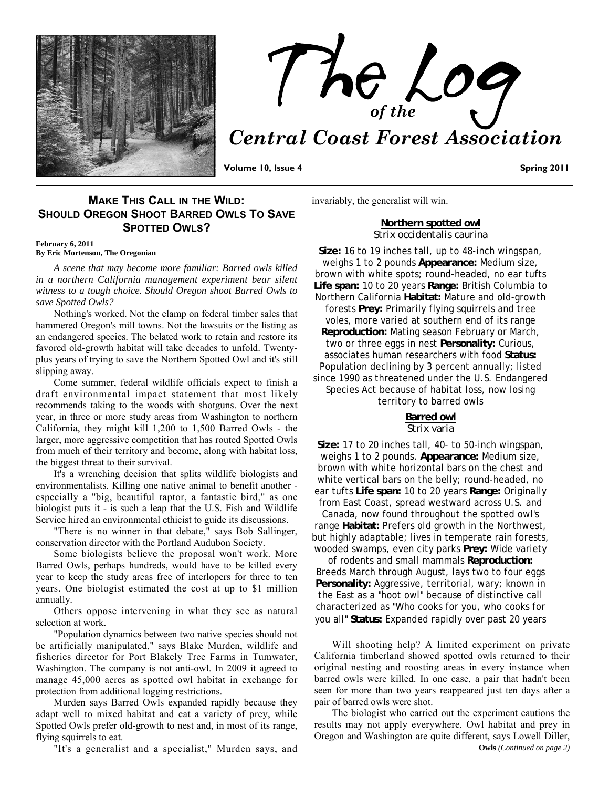



**Volume 10, Issue 4** Spring 2011 **Spring 2011** 

## **MAKE THIS CALL IN THE WILD: SHOULD OREGON SHOOT BARRED OWLS TO SAVE SPOTTED OWLS?**

**February 6, 2011 By Eric Mortenson, The Oregonian**

*A scene that may become more familiar: Barred owls killed in a northern California management experiment bear silent witness to a tough choice. Should Oregon shoot Barred Owls to save Spotted Owls?* 

Nothing's worked. Not the clamp on federal timber sales that hammered Oregon's mill towns. Not the lawsuits or the listing as an endangered species. The belated work to retain and restore its favored old-growth habitat will take decades to unfold. Twentyplus years of trying to save the Northern Spotted Owl and it's still slipping away.

Come summer, federal wildlife officials expect to finish a draft environmental impact statement that most likely recommends taking to the woods with shotguns. Over the next year, in three or more study areas from Washington to northern California, they might kill 1,200 to 1,500 Barred Owls - the larger, more aggressive competition that has routed Spotted Owls from much of their territory and become, along with habitat loss, the biggest threat to their survival.

It's a wrenching decision that splits wildlife biologists and environmentalists. Killing one native animal to benefit another especially a "big, beautiful raptor, a fantastic bird," as one biologist puts it - is such a leap that the U.S. Fish and Wildlife Service hired an environmental ethicist to guide its discussions.

"There is no winner in that debate," says Bob Sallinger, conservation director with the Portland Audubon Society.

Some biologists believe the proposal won't work. More Barred Owls, perhaps hundreds, would have to be killed every year to keep the study areas free of interlopers for three to ten years. One biologist estimated the cost at up to \$1 million annually.

Others oppose intervening in what they see as natural selection at work.

"Population dynamics between two native species should not be artificially manipulated," says Blake Murden, wildlife and fisheries director for Port Blakely Tree Farms in Tumwater, Washington. The company is not anti-owl. In 2009 it agreed to manage 45,000 acres as spotted owl habitat in exchange for protection from additional logging restrictions.

Murden says Barred Owls expanded rapidly because they adapt well to mixed habitat and eat a variety of prey, while Spotted Owls prefer old-growth to nest and, in most of its range, flying squirrels to eat.

"It's a generalist and a specialist," Murden says, and

invariably, the generalist will win.

**Northern spotted owl** *Strix occidentalis caurina*

**Size:** 16 to 19 inches tall, up to 48-inch wingspan, weighs 1 to 2 pounds **Appearance:** Medium size, brown with white spots; round-headed, no ear tufts **Life span:** 10 to 20 years **Range:** British Columbia to Northern California **Habitat:** Mature and old-growth forests **Prey:** Primarily flying squirrels and tree voles, more varied at southern end of its range **Reproduction:** Mating season February or March, two or three eggs in nest **Personality:** Curious, associates human researchers with food **Status:** Population declining by 3 percent annually; listed since 1990 as threatened under the U.S. Endangered Species Act because of habitat loss, now losing territory to barred owls

### **Barred owl** *Strix varia*

**Size:** 17 to 20 inches tall, 40- to 50-inch wingspan, weighs 1 to 2 pounds. **Appearance:** Medium size, brown with white horizontal bars on the chest and white vertical bars on the belly; round-headed, no ear tufts **Life span:** 10 to 20 years **Range:** Originally from East Coast, spread westward across U.S. and

Canada, now found throughout the spotted owl's range **Habitat:** Prefers old growth in the Northwest, but highly adaptable; lives in temperate rain forests, wooded swamps, even city parks **Prey:** Wide variety

of rodents and small mammals **Reproduction:** Breeds March through August, lays two to four eggs **Personality:** Aggressive, territorial, wary; known in the East as a "hoot owl" because of distinctive call characterized as "Who cooks for you, who cooks for you all" **Status:** Expanded rapidly over past 20 years

Will shooting help? A limited experiment on private California timberland showed spotted owls returned to their original nesting and roosting areas in every instance when barred owls were killed. In one case, a pair that hadn't been seen for more than two years reappeared just ten days after a pair of barred owls were shot.

The biologist who carried out the experiment cautions the results may not apply everywhere. Owl habitat and prey in Oregon and Washington are quite different, says Lowell Diller, **Owls** *(Continued on page 2)*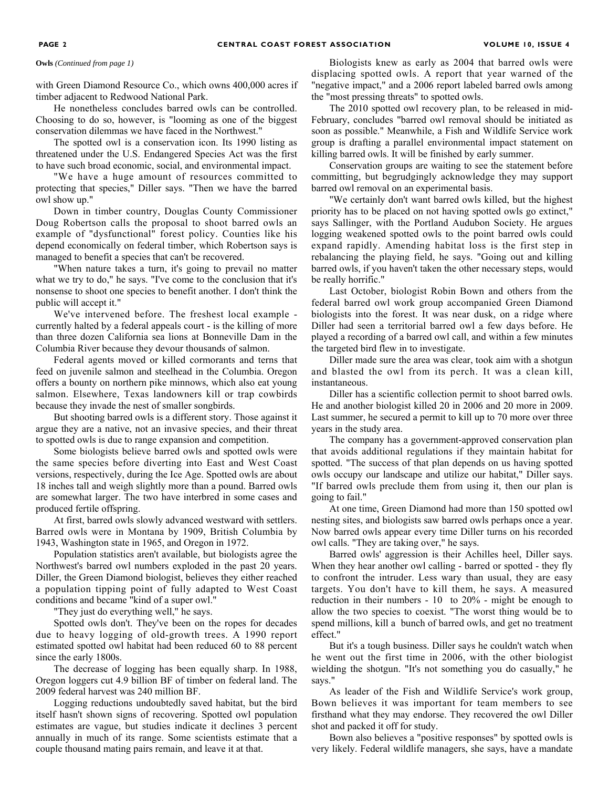with Green Diamond Resource Co., which owns 400,000 acres if timber adjacent to Redwood National Park.

He nonetheless concludes barred owls can be controlled. Choosing to do so, however, is "looming as one of the biggest conservation dilemmas we have faced in the Northwest."

The spotted owl is a conservation icon. Its 1990 listing as threatened under the U.S. Endangered Species Act was the first to have such broad economic, social, and environmental impact.

"We have a huge amount of resources committed to protecting that species," Diller says. "Then we have the barred owl show up."

Down in timber country, Douglas County Commissioner Doug Robertson calls the proposal to shoot barred owls an example of "dysfunctional" forest policy. Counties like his depend economically on federal timber, which Robertson says is managed to benefit a species that can't be recovered.

"When nature takes a turn, it's going to prevail no matter what we try to do," he says. "I've come to the conclusion that it's nonsense to shoot one species to benefit another. I don't think the public will accept it."

We've intervened before. The freshest local example currently halted by a federal appeals court - is the killing of more than three dozen California sea lions at Bonneville Dam in the Columbia River because they devour thousands of salmon.

Federal agents moved or killed cormorants and terns that feed on juvenile salmon and steelhead in the Columbia. Oregon offers a bounty on northern pike minnows, which also eat young salmon. Elsewhere, Texas landowners kill or trap cowbirds because they invade the nest of smaller songbirds.

But shooting barred owls is a different story. Those against it argue they are a native, not an invasive species, and their threat to spotted owls is due to range expansion and competition.

Some biologists believe barred owls and spotted owls were the same species before diverting into East and West Coast versions, respectively, during the Ice Age. Spotted owls are about 18 inches tall and weigh slightly more than a pound. Barred owls are somewhat larger. The two have interbred in some cases and produced fertile offspring.

At first, barred owls slowly advanced westward with settlers. Barred owls were in Montana by 1909, British Columbia by 1943, Washington state in 1965, and Oregon in 1972.

Population statistics aren't available, but biologists agree the Northwest's barred owl numbers exploded in the past 20 years. Diller, the Green Diamond biologist, believes they either reached a population tipping point of fully adapted to West Coast conditions and became "kind of a super owl."

"They just do everything well," he says.

Spotted owls don't. They've been on the ropes for decades due to heavy logging of old-growth trees. A 1990 report estimated spotted owl habitat had been reduced 60 to 88 percent since the early 1800s.

The decrease of logging has been equally sharp. In 1988, Oregon loggers cut 4.9 billion BF of timber on federal land. The 2009 federal harvest was 240 million BF.

Logging reductions undoubtedly saved habitat, but the bird itself hasn't shown signs of recovering. Spotted owl population estimates are vague, but studies indicate it declines 3 percent annually in much of its range. Some scientists estimate that a couple thousand mating pairs remain, and leave it at that.

**Owls** *(Continued from page 1)* Biologists knew as early as 2004 that barred owls were displacing spotted owls. A report that year warned of the "negative impact," and a 2006 report labeled barred owls among the "most pressing threats" to spotted owls.

> The 2010 spotted owl recovery plan, to be released in mid-February, concludes "barred owl removal should be initiated as soon as possible." Meanwhile, a Fish and Wildlife Service work group is drafting a parallel environmental impact statement on killing barred owls. It will be finished by early summer.

> Conservation groups are waiting to see the statement before committing, but begrudgingly acknowledge they may support barred owl removal on an experimental basis.

> "We certainly don't want barred owls killed, but the highest priority has to be placed on not having spotted owls go extinct," says Sallinger, with the Portland Audubon Society. He argues logging weakened spotted owls to the point barred owls could expand rapidly. Amending habitat loss is the first step in rebalancing the playing field, he says. "Going out and killing barred owls, if you haven't taken the other necessary steps, would be really horrific."

> Last October, biologist Robin Bown and others from the federal barred owl work group accompanied Green Diamond biologists into the forest. It was near dusk, on a ridge where Diller had seen a territorial barred owl a few days before. He played a recording of a barred owl call, and within a few minutes the targeted bird flew in to investigate.

> Diller made sure the area was clear, took aim with a shotgun and blasted the owl from its perch. It was a clean kill, instantaneous.

> Diller has a scientific collection permit to shoot barred owls. He and another biologist killed 20 in 2006 and 20 more in 2009. Last summer, he secured a permit to kill up to 70 more over three years in the study area.

> The company has a government-approved conservation plan that avoids additional regulations if they maintain habitat for spotted. "The success of that plan depends on us having spotted owls occupy our landscape and utilize our habitat," Diller says. "If barred owls preclude them from using it, then our plan is going to fail."

> At one time, Green Diamond had more than 150 spotted owl nesting sites, and biologists saw barred owls perhaps once a year. Now barred owls appear every time Diller turns on his recorded owl calls. "They are taking over," he says.

> Barred owls' aggression is their Achilles heel, Diller says. When they hear another owl calling - barred or spotted - they fly to confront the intruder. Less wary than usual, they are easy targets. You don't have to kill them, he says. A measured reduction in their numbers - 10 to 20% - might be enough to allow the two species to coexist. "The worst thing would be to spend millions, kill a bunch of barred owls, and get no treatment effect."

> But it's a tough business. Diller says he couldn't watch when he went out the first time in 2006, with the other biologist wielding the shotgun. "It's not something you do casually," he says."

> As leader of the Fish and Wildlife Service's work group, Bown believes it was important for team members to see firsthand what they may endorse. They recovered the owl Diller shot and packed it off for study.

> Bown also believes a "positive responses" by spotted owls is very likely. Federal wildlife managers, she says, have a mandate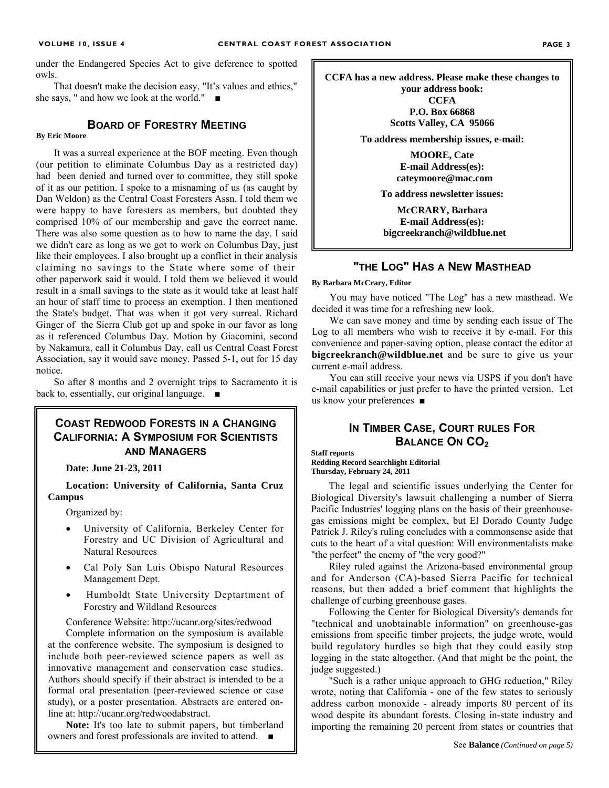under the Endangered Species Act to give deference to spotted owls.

That doesn't make the decision easy. "It's values and ethics," she says, " and how we look at the world." ■

## **BOARD OF FORESTRY MEETING**

### **By Eric Moore**

It was a surreal experience at the BOF meeting. Even though (our petition to eliminate Columbus Day as a restricted day) had been denied and turned over to committee, they still spoke of it as our petition. I spoke to a misnaming of us (as caught by Dan Weldon) as the Central Coast Foresters Assn. I told them we were happy to have foresters as members, but doubted they comprised 10% of our membership and gave the correct name. There was also some question as to how to name the day. I said we didn't care as long as we got to work on Columbus Day, just like their employees. I also brought up a conflict in their analysis claiming no savings to the State where some of their other paperwork said it would. I told them we believed it would result in a small savings to the state as it would take at least half an hour of staff time to process an exemption. I then mentioned the State's budget. That was when it got very surreal. Richard Ginger of the Sierra Club got up and spoke in our favor as long as it referenced Columbus Day. Motion by Giacomini, second by Nakamura, call it Columbus Day, call us Central Coast Forest Association, say it would save money. Passed 5-1, out for 15 day notice.

So after 8 months and 2 overnight trips to Sacramento it is back to, essentially, our original language. ■

## **COAST REDWOOD FORESTS IN A CHANGING CALIFORNIA: A SYMPOSIUM FOR SCIENTISTS AND MANAGERS**

**Date: June 21-23, 2011** 

**Location: University of California, Santa Cruz Campus** 

Organized by:

- University of California, Berkeley Center for Forestry and UC Division of Agricultural and Natural Resources
- Cal Poly San Luis Obispo Natural Resources Management Dept.
- Humboldt State University Deptartment of Forestry and Wildland Resources

Conference Website: http://ucanr.org/sites/redwood

Complete information on the symposium is available at the conference website. The symposium is designed to include both peer-reviewed science papers as well as innovative management and conservation case studies. Authors should specify if their abstract is intended to be a formal oral presentation (peer-reviewed science or case study), or a poster presentation. Abstracts are entered online at: http://ucanr.org/redwoodabstract.

**Note:** It's too late to submit papers, but timberland owners and forest professionals are invited to attend. ■

**CCFA has a new address. Please make these changes to your address book:** 

**CCFA P.O. Box 66868 Scotts Valley, CA 95066** 

**To address membership issues, e-mail:** 

**MOORE, Cate E-mail Address(es): cateymoore@mac.com** 

**To address newsletter issues:**

**McCRARY, Barbara E-mail Address(es): bigcreekranch@wildblue.net** 

## **"THE LOG" HAS A NEW MASTHEAD**

**By Barbara McCrary, Editor** 

You may have noticed "The Log" has a new masthead. We decided it was time for a refreshing new look.

We can save money and time by sending each issue of The Log to all members who wish to receive it by e-mail. For this convenience and paper-saving option, please contact the editor at **bigcreekranch@wildblue.net** and be sure to give us your current e-mail address.

You can still receive your news via USPS if you don't have e-mail capabilities or just prefer to have the printed version. Let us know your preferences ■

## **IN TIMBER CASE, COURT RULES FOR BALANCE ON CO<sub>2</sub>**

**Staff reports Redding Record Searchlight Editorial Thursday, February 24, 2011** 

The legal and scientific issues underlying the Center for Biological Diversity's lawsuit challenging a number of Sierra Pacific Industries' logging plans on the basis of their greenhousegas emissions might be complex, but El Dorado County Judge Patrick J. Riley's ruling concludes with a commonsense aside that cuts to the heart of a vital question: Will environmentalists make "the perfect" the enemy of "the very good?"

Riley ruled against the Arizona-based environmental group and for Anderson (CA)-based Sierra Pacific for technical reasons, but then added a brief comment that highlights the challenge of curbing greenhouse gases.

Following the Center for Biological Diversity's demands for "technical and unobtainable information" on greenhouse-gas emissions from specific timber projects, the judge wrote, would build regulatory hurdles so high that they could easily stop logging in the state altogether. (And that might be the point, the judge suggested.)

"Such is a rather unique approach to GHG reduction," Riley wrote, noting that California - one of the few states to seriously address carbon monoxide - already imports 80 percent of its wood despite its abundant forests. Closing in-state industry and importing the remaining 20 percent from states or countries that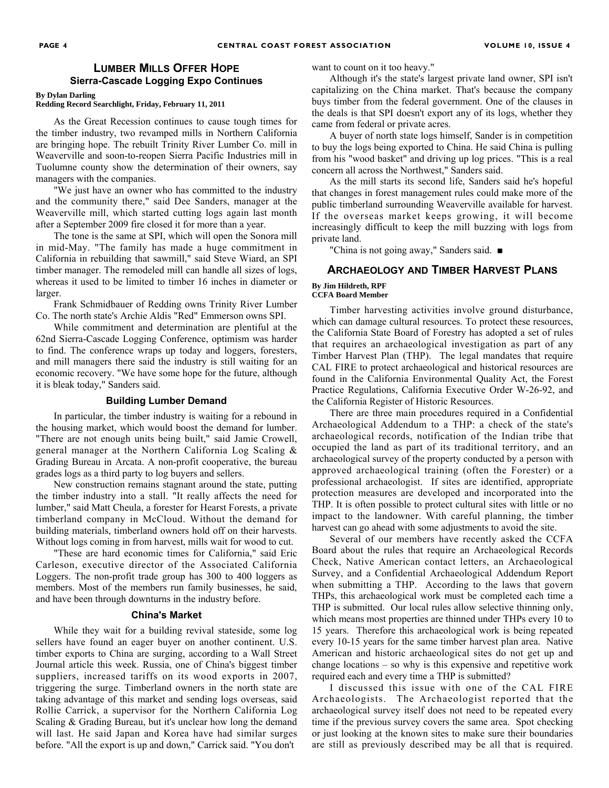## **LUMBER MILLS OFFER HOPE Sierra-Cascade Logging Expo Continues**

#### **By Dylan Darling Redding Record Searchlight, Friday, February 11, 2011**

As the Great Recession continues to cause tough times for the timber industry, two revamped mills in Northern California are bringing hope. The rebuilt Trinity River Lumber Co. mill in Weaverville and soon-to-reopen Sierra Pacific Industries mill in Tuolumne county show the determination of their owners, say managers with the companies.

"We just have an owner who has committed to the industry and the community there," said Dee Sanders, manager at the Weaverville mill, which started cutting logs again last month after a September 2009 fire closed it for more than a year.

The tone is the same at SPI, which will open the Sonora mill in mid-May. "The family has made a huge commitment in California in rebuilding that sawmill," said Steve Wiard, an SPI timber manager. The remodeled mill can handle all sizes of logs, whereas it used to be limited to timber 16 inches in diameter or larger.

Frank Schmidbauer of Redding owns Trinity River Lumber Co. The north state's Archie Aldis "Red" Emmerson owns SPI.

While commitment and determination are plentiful at the 62nd Sierra-Cascade Logging Conference, optimism was harder to find. The conference wraps up today and loggers, foresters, and mill managers there said the industry is still waiting for an economic recovery. "We have some hope for the future, although it is bleak today," Sanders said.

#### **Building Lumber Demand**

In particular, the timber industry is waiting for a rebound in the housing market, which would boost the demand for lumber. "There are not enough units being built," said Jamie Crowell, general manager at the Northern California Log Scaling & Grading Bureau in Arcata. A non-profit cooperative, the bureau grades logs as a third party to log buyers and sellers.

New construction remains stagnant around the state, putting the timber industry into a stall. "It really affects the need for lumber," said Matt Cheula, a forester for Hearst Forests, a private timberland company in McCloud. Without the demand for building materials, timberland owners hold off on their harvests. Without logs coming in from harvest, mills wait for wood to cut.

"These are hard economic times for California," said Eric Carleson, executive director of the Associated California Loggers. The non-profit trade group has 300 to 400 loggers as members. Most of the members run family businesses, he said, and have been through downturns in the industry before.

#### **China's Market**

While they wait for a building revival stateside, some log sellers have found an eager buyer on another continent. U.S. timber exports to China are surging, according to a Wall Street Journal article this week. Russia, one of China's biggest timber suppliers, increased tariffs on its wood exports in 2007, triggering the surge. Timberland owners in the north state are taking advantage of this market and sending logs overseas, said Rollie Carrick, a supervisor for the Northern California Log Scaling & Grading Bureau, but it's unclear how long the demand will last. He said Japan and Korea have had similar surges before. "All the export is up and down," Carrick said. "You don't

want to count on it too heavy."

Although it's the state's largest private land owner, SPI isn't capitalizing on the China market. That's because the company buys timber from the federal government. One of the clauses in the deals is that SPI doesn't export any of its logs, whether they came from federal or private acres.

A buyer of north state logs himself, Sander is in competition to buy the logs being exported to China. He said China is pulling from his "wood basket" and driving up log prices. "This is a real concern all across the Northwest," Sanders said.

As the mill starts its second life, Sanders said he's hopeful that changes in forest management rules could make more of the public timberland surrounding Weaverville available for harvest. If the overseas market keeps growing, it will become increasingly difficult to keep the mill buzzing with logs from private land.

"China is not going away," Sanders said. ■

## **ARCHAEOLOGY AND TIMBER HARVEST PLANS**

#### **By Jim Hildreth, RPF CCFA Board Member**

Timber harvesting activities involve ground disturbance, which can damage cultural resources. To protect these resources, the California State Board of Forestry has adopted a set of rules that requires an archaeological investigation as part of any Timber Harvest Plan (THP). The legal mandates that require CAL FIRE to protect archaeological and historical resources are found in the California Environmental Quality Act, the Forest Practice Regulations, California Executive Order W-26-92, and the California Register of Historic Resources.

There are three main procedures required in a Confidential Archaeological Addendum to a THP: a check of the state's archaeological records, notification of the Indian tribe that occupied the land as part of its traditional territory, and an archaeological survey of the property conducted by a person with approved archaeological training (often the Forester) or a professional archaeologist. If sites are identified, appropriate protection measures are developed and incorporated into the THP. It is often possible to protect cultural sites with little or no impact to the landowner. With careful planning, the timber harvest can go ahead with some adjustments to avoid the site.

Several of our members have recently asked the CCFA Board about the rules that require an Archaeological Records Check, Native American contact letters, an Archaeological Survey, and a Confidential Archaeological Addendum Report when submitting a THP. According to the laws that govern THPs, this archaeological work must be completed each time a THP is submitted. Our local rules allow selective thinning only, which means most properties are thinned under THPs every 10 to 15 years. Therefore this archaeological work is being repeated every 10-15 years for the same timber harvest plan area. Native American and historic archaeological sites do not get up and change locations – so why is this expensive and repetitive work required each and every time a THP is submitted?

I discussed this issue with one of the CAL FIRE Archaeologists. The Archaeologist reported that the archaeological survey itself does not need to be repeated every time if the previous survey covers the same area. Spot checking or just looking at the known sites to make sure their boundaries are still as previously described may be all that is required.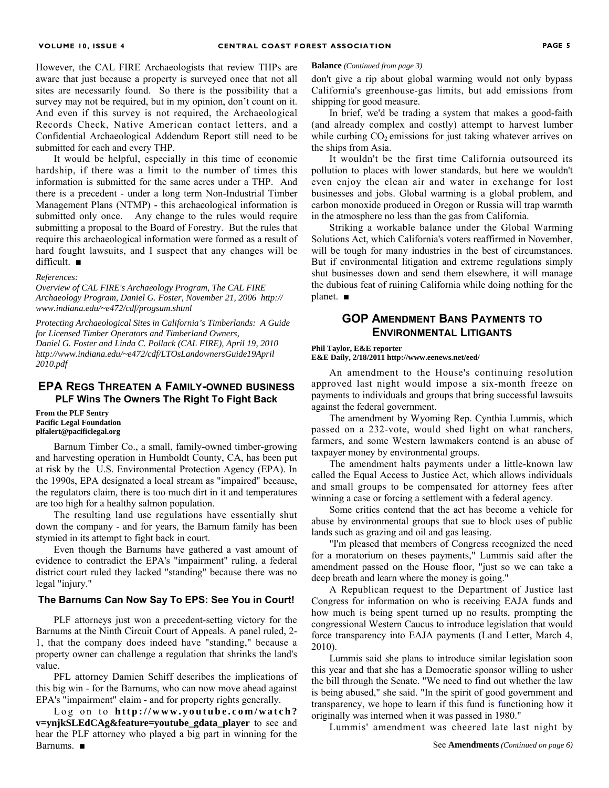However, the CAL FIRE Archaeologists that review THPs are aware that just because a property is surveyed once that not all sites are necessarily found. So there is the possibility that a survey may not be required, but in my opinion, don't count on it. And even if this survey is not required, the Archaeological Records Check, Native American contact letters, and a Confidential Archaeological Addendum Report still need to be submitted for each and every THP.

It would be helpful, especially in this time of economic hardship, if there was a limit to the number of times this information is submitted for the same acres under a THP. And there is a precedent - under a long term Non-Industrial Timber Management Plans (NTMP) - this archaeological information is submitted only once. Any change to the rules would require submitting a proposal to the Board of Forestry. But the rules that require this archaeological information were formed as a result of hard fought lawsuits, and I suspect that any changes will be difficult. ■

#### *References:*

*Overview of CAL FIRE's Archaeology Program, The CAL FIRE Archaeology Program, Daniel G. Foster, November 21, 2006 http:// www.indiana.edu/~e472/cdf/progsum.shtml* 

*Protecting Archaeological Sites in California's Timberlands: A Guide for Licensed Timber Operators and Timberland Owners, Daniel G. Foster and Linda C. Pollack (CAL FIRE), April 19, 2010 http://www.indiana.edu/~e472/cdf/LTOsLandownersGuide19April 2010.pdf* 

## **EPA REGS THREATEN A FAMILY-OWNED BUSINESS PLF Wins The Owners The Right To Fight Back**

**From the PLF Sentry Pacific Legal Foundation plfalert@pacificlegal.org** 

Barnum Timber Co., a small, family-owned timber-growing and harvesting operation in Humboldt County, CA, has been put at risk by the U.S. Environmental Protection Agency (EPA). In the 1990s, EPA designated a local stream as "impaired" because, the regulators claim, there is too much dirt in it and temperatures are too high for a healthy salmon population.

The resulting land use regulations have essentially shut down the company - and for years, the Barnum family has been stymied in its attempt to fight back in court.

Even though the Barnums have gathered a vast amount of evidence to contradict the EPA's "impairment" ruling, a federal district court ruled they lacked "standing" because there was no legal "injury."

### **The Barnums Can Now Say To EPS: See You in Court!**

PLF attorneys just won a precedent-setting victory for the Barnums at the Ninth Circuit Court of Appeals. A panel ruled, 2- 1, that the company does indeed have "standing," because a property owner can challenge a regulation that shrinks the land's value.

PFL attorney Damien Schiff describes the implications of this big win - for the Barnums, who can now move ahead against EPA's "impairment" claim - and for property rights generally.

Log on to **http://www.youtube.com/watch? v=ynjkSLEdCAg&feature=youtube\_gdata\_player** to see and hear the PLF attorney who played a big part in winning for the Barnums. ■

#### **Balance** *(Continued from page 3)*

don't give a rip about global warming would not only bypass California's greenhouse-gas limits, but add emissions from shipping for good measure.

In brief, we'd be trading a system that makes a good-faith (and already complex and costly) attempt to harvest lumber while curbing  $CO<sub>2</sub>$  emissions for just taking whatever arrives on the ships from Asia.

It wouldn't be the first time California outsourced its pollution to places with lower standards, but here we wouldn't even enjoy the clean air and water in exchange for lost businesses and jobs. Global warming is a global problem, and carbon monoxide produced in Oregon or Russia will trap warmth in the atmosphere no less than the gas from California.

Striking a workable balance under the Global Warming Solutions Act, which California's voters reaffirmed in November, will be tough for many industries in the best of circumstances. But if environmental litigation and extreme regulations simply shut businesses down and send them elsewhere, it will manage the dubious feat of ruining California while doing nothing for the planet. ■

## **GOP AMENDMENT BANS PAYMENTS TO ENVIRONMENTAL LITIGANTS**

#### **Phil Taylor, E&E reporter**

**E&E Daily, 2/18/2011 http://www.eenews.net/eed/**

An amendment to the House's continuing resolution approved last night would impose a six-month freeze on payments to individuals and groups that bring successful lawsuits against the federal government.

The amendment by Wyoming Rep. Cynthia Lummis, which passed on a 232-vote, would shed light on what ranchers, farmers, and some Western lawmakers contend is an abuse of taxpayer money by environmental groups.

The amendment halts payments under a little-known law called the Equal Access to Justice Act, which allows individuals and small groups to be compensated for attorney fees after winning a case or forcing a settlement with a federal agency.

Some critics contend that the act has become a vehicle for abuse by environmental groups that sue to block uses of public lands such as grazing and oil and gas leasing.

"I'm pleased that members of Congress recognized the need for a moratorium on theses payments," Lummis said after the amendment passed on the House floor, "just so we can take a deep breath and learn where the money is going."

A Republican request to the Department of Justice last Congress for information on who is receiving EAJA funds and how much is being spent turned up no results, prompting the congressional Western Caucus to introduce legislation that would force transparency into EAJA payments (Land Letter, March 4, 2010).

Lummis said she plans to introduce similar legislation soon this year and that she has a Democratic sponsor willing to usher the bill through the Senate. "We need to find out whether the law is being abused," she said. "In the spirit of good government and transparency, we hope to learn if this fund is functioning how it originally was interned when it was passed in 1980."

Lummis' amendment was cheered late last night by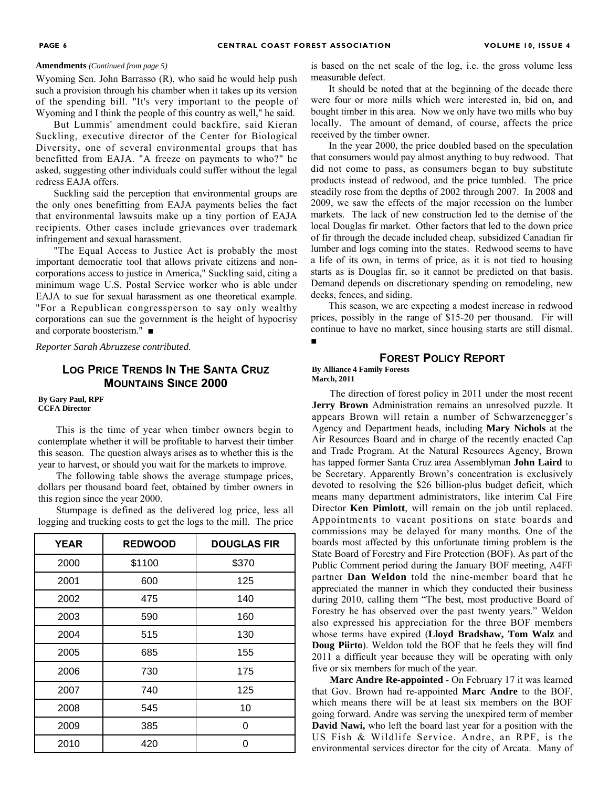#### **Amendments** *(Continued from page 5)*

Wyoming Sen. John Barrasso (R), who said he would help push such a provision through his chamber when it takes up its version of the spending bill. "It's very important to the people of Wyoming and I think the people of this country as well," he said.

But Lummis' amendment could backfire, said Kieran Suckling, executive director of the Center for Biological Diversity, one of several environmental groups that has benefitted from EAJA. "A freeze on payments to who?" he asked, suggesting other individuals could suffer without the legal redress EAJA offers.

Suckling said the perception that environmental groups are the only ones benefitting from EAJA payments belies the fact that environmental lawsuits make up a tiny portion of EAJA recipients. Other cases include grievances over trademark infringement and sexual harassment.

"The Equal Access to Justice Act is probably the most important democratic tool that allows private citizens and noncorporations access to justice in America," Suckling said, citing a minimum wage U.S. Postal Service worker who is able under EAJA to sue for sexual harassment as one theoretical example. "For a Republican congressperson to say only wealthy corporations can sue the government is the height of hypocrisy and corporate boosterism." ■

*Reporter Sarah Abruzzese contributed.* 

## **LOG PRICE TRENDS IN THE SANTA CRUZ MOUNTAINS SINCE 2000**

#### **By Gary Paul, RPF CCFA Director**

This is the time of year when timber owners begin to contemplate whether it will be profitable to harvest their timber this season. The question always arises as to whether this is the year to harvest, or should you wait for the markets to improve.

The following table shows the average stumpage prices, dollars per thousand board feet, obtained by timber owners in this region since the year 2000.

Stumpage is defined as the delivered log price, less all logging and trucking costs to get the logs to the mill. The price

| <b>YEAR</b> | <b>REDWOOD</b> | <b>DOUGLAS FIR</b> |
|-------------|----------------|--------------------|
| 2000        | \$1100         | \$370              |
| 2001        | 600            | 125                |
| 2002        | 475            | 140                |
| 2003        | 590            | 160                |
| 2004        | 515            | 130                |
| 2005        | 685            | 155                |
| 2006        | 730            | 175                |
| 2007        | 740            | 125                |
| 2008        | 545            | 10                 |
| 2009        | 385            | 0                  |
| 2010        | 420            | ი                  |

is based on the net scale of the log, i.e. the gross volume less measurable defect.

It should be noted that at the beginning of the decade there were four or more mills which were interested in, bid on, and bought timber in this area. Now we only have two mills who buy locally. The amount of demand, of course, affects the price received by the timber owner.

In the year 2000, the price doubled based on the speculation that consumers would pay almost anything to buy redwood. That did not come to pass, as consumers began to buy substitute products instead of redwood, and the price tumbled. The price steadily rose from the depths of 2002 through 2007. In 2008 and 2009, we saw the effects of the major recession on the lumber markets. The lack of new construction led to the demise of the local Douglas fir market. Other factors that led to the down price of fir through the decade included cheap, subsidized Canadian fir lumber and logs coming into the states. Redwood seems to have a life of its own, in terms of price, as it is not tied to housing starts as is Douglas fir, so it cannot be predicted on that basis. Demand depends on discretionary spending on remodeling, new decks, fences, and siding.

This season, we are expecting a modest increase in redwood prices, possibly in the range of \$15-20 per thousand. Fir will continue to have no market, since housing starts are still dismal. ■

## **FOREST POLICY REPORT**

#### **By Alliance 4 Family Forests March, 2011**

The direction of forest policy in 2011 under the most recent **Jerry Brown** Administration remains an unresolved puzzle. It appears Brown will retain a number of Schwarzenegger's Agency and Department heads, including **Mary Nichols** at the Air Resources Board and in charge of the recently enacted Cap and Trade Program. At the Natural Resources Agency, Brown has tapped former Santa Cruz area Assemblyman **John Laird** to be Secretary. Apparently Brown's concentration is exclusively devoted to resolving the \$26 billion-plus budget deficit, which means many department administrators, like interim Cal Fire Director **Ken Pimlott**, will remain on the job until replaced. Appointments to vacant positions on state boards and commissions may be delayed for many months. One of the boards most affected by this unfortunate timing problem is the State Board of Forestry and Fire Protection (BOF). As part of the Public Comment period during the January BOF meeting, A4FF partner **Dan Weldon** told the nine-member board that he appreciated the manner in which they conducted their business during 2010, calling them "The best, most productive Board of Forestry he has observed over the past twenty years." Weldon also expressed his appreciation for the three BOF members whose terms have expired (**Lloyd Bradshaw, Tom Walz** and **Doug Piirto**). Weldon told the BOF that he feels they will find 2011 a difficult year because they will be operating with only five or six members for much of the year.

**Marc Andre Re-appointed** - On February 17 it was learned that Gov. Brown had re-appointed **Marc Andre** to the BOF, which means there will be at least six members on the BOF going forward. Andre was serving the unexpired term of member **David Nawi,** who left the board last year for a position with the US Fish & Wildlife Service. Andre, an RPF, is the environmental services director for the city of Arcata. Many of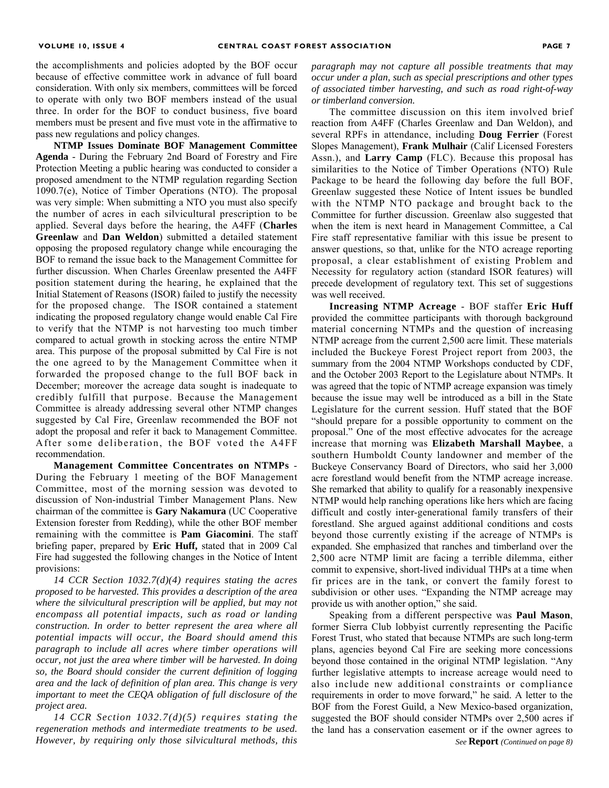the accomplishments and policies adopted by the BOF occur because of effective committee work in advance of full board consideration. With only six members, committees will be forced to operate with only two BOF members instead of the usual three. In order for the BOF to conduct business, five board members must be present and five must vote in the affirmative to pass new regulations and policy changes.

**NTMP Issues Dominate BOF Management Committee Agenda** - During the February 2nd Board of Forestry and Fire Protection Meeting a public hearing was conducted to consider a proposed amendment to the NTMP regulation regarding Section 1090.7(e), Notice of Timber Operations (NTO). The proposal was very simple: When submitting a NTO you must also specify the number of acres in each silvicultural prescription to be applied. Several days before the hearing, the A4FF (**Charles Greenlaw** and **Dan Weldon**) submitted a detailed statement opposing the proposed regulatory change while encouraging the BOF to remand the issue back to the Management Committee for further discussion. When Charles Greenlaw presented the A4FF position statement during the hearing, he explained that the Initial Statement of Reasons (ISOR) failed to justify the necessity for the proposed change. The ISOR contained a statement indicating the proposed regulatory change would enable Cal Fire to verify that the NTMP is not harvesting too much timber compared to actual growth in stocking across the entire NTMP area. This purpose of the proposal submitted by Cal Fire is not the one agreed to by the Management Committee when it forwarded the proposed change to the full BOF back in December; moreover the acreage data sought is inadequate to credibly fulfill that purpose. Because the Management Committee is already addressing several other NTMP changes suggested by Cal Fire, Greenlaw recommended the BOF not adopt the proposal and refer it back to Management Committee. After some deliberation, the BOF voted the A4FF recommendation.

**Management Committee Concentrates on NTMPs** - During the February 1 meeting of the BOF Management Committee, most of the morning session was devoted to discussion of Non-industrial Timber Management Plans. New chairman of the committee is **Gary Nakamura** (UC Cooperative Extension forester from Redding), while the other BOF member remaining with the committee is **Pam Giacomini**. The staff briefing paper, prepared by **Eric Huff,** stated that in 2009 Cal Fire had suggested the following changes in the Notice of Intent provisions:

*14 CCR Section 1032.7(d)(4) requires stating the acres proposed to be harvested. This provides a description of the area where the silvicultural prescription will be applied, but may not encompass all potential impacts, such as road or landing construction. In order to better represent the area where all potential impacts will occur, the Board should amend this paragraph to include all acres where timber operations will occur, not just the area where timber will be harvested. In doing so, the Board should consider the current definition of logging area and the lack of definition of plan area. This change is very important to meet the CEQA obligation of full disclosure of the project area.*

*14 CCR Section 1032.7(d)(5) requires stating the regeneration methods and intermediate treatments to be used. However, by requiring only those silvicultural methods, this* 

*paragraph may not capture all possible treatments that may occur under a plan, such as special prescriptions and other types of associated timber harvesting, and such as road right-of-way or timberland conversion.*

The committee discussion on this item involved brief reaction from A4FF (Charles Greenlaw and Dan Weldon), and several RPFs in attendance, including **Doug Ferrier** (Forest Slopes Management), **Frank Mulhair** (Calif Licensed Foresters Assn.), and **Larry Camp** (FLC). Because this proposal has similarities to the Notice of Timber Operations (NTO) Rule Package to be heard the following day before the full BOF, Greenlaw suggested these Notice of Intent issues be bundled with the NTMP NTO package and brought back to the Committee for further discussion. Greenlaw also suggested that when the item is next heard in Management Committee, a Cal Fire staff representative familiar with this issue be present to answer questions, so that, unlike for the NTO acreage reporting proposal, a clear establishment of existing Problem and Necessity for regulatory action (standard ISOR features) will precede development of regulatory text. This set of suggestions was well received.

**Increasing NTMP Acreage** - BOF staffer **Eric Huff**  provided the committee participants with thorough background material concerning NTMPs and the question of increasing NTMP acreage from the current 2,500 acre limit. These materials included the Buckeye Forest Project report from 2003, the summary from the 2004 NTMP Workshops conducted by CDF, and the October 2003 Report to the Legislature about NTMPs. It was agreed that the topic of NTMP acreage expansion was timely because the issue may well be introduced as a bill in the State Legislature for the current session. Huff stated that the BOF "should prepare for a possible opportunity to comment on the proposal." One of the most effective advocates for the acreage increase that morning was **Elizabeth Marshall Maybee**, a southern Humboldt County landowner and member of the Buckeye Conservancy Board of Directors, who said her 3,000 acre forestland would benefit from the NTMP acreage increase. She remarked that ability to qualify for a reasonably inexpensive NTMP would help ranching operations like hers which are facing difficult and costly inter-generational family transfers of their forestland. She argued against additional conditions and costs beyond those currently existing if the acreage of NTMPs is expanded. She emphasized that ranches and timberland over the 2,500 acre NTMP limit are facing a terrible dilemma, either commit to expensive, short-lived individual THPs at a time when fir prices are in the tank, or convert the family forest to subdivision or other uses. "Expanding the NTMP acreage may provide us with another option," she said.

Speaking from a different perspective was **Paul Mason**, former Sierra Club lobbyist currently representing the Pacific Forest Trust, who stated that because NTMPs are such long-term plans, agencies beyond Cal Fire are seeking more concessions beyond those contained in the original NTMP legislation. "Any further legislative attempts to increase acreage would need to also include new additional constraints or compliance requirements in order to move forward," he said. A letter to the BOF from the Forest Guild, a New Mexico-based organization, suggested the BOF should consider NTMPs over 2,500 acres if the land has a conservation easement or if the owner agrees to *See* **Report** *(Continued on page 8)*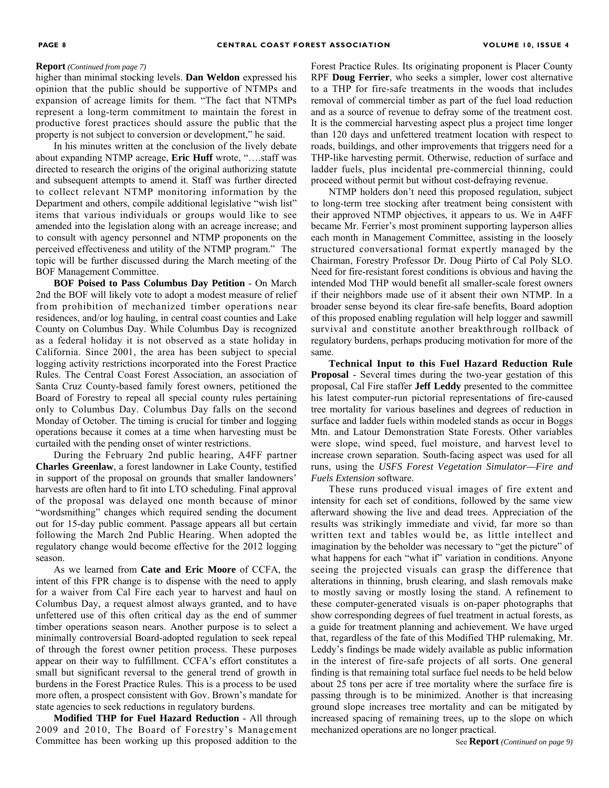higher than minimal stocking levels. **Dan Weldon** expressed his opinion that the public should be supportive of NTMPs and expansion of acreage limits for them. "The fact that NTMPs represent a long-term commitment to maintain the forest in productive forest practices should assure the public that the property is not subject to conversion or development," he said.

In his minutes written at the conclusion of the lively debate about expanding NTMP acreage, **Eric Huff** wrote, "….staff was directed to research the origins of the original authorizing statute and subsequent attempts to amend it. Staff was further directed to collect relevant NTMP monitoring information by the Department and others, compile additional legislative "wish list" items that various individuals or groups would like to see amended into the legislation along with an acreage increase; and to consult with agency personnel and NTMP proponents on the perceived effectiveness and utility of the NTMP program." The topic will be further discussed during the March meeting of the BOF Management Committee.

**BOF Poised to Pass Columbus Day Petition** - On March 2nd the BOF will likely vote to adopt a modest measure of relief from prohibition of mechanized timber operations near residences, and/or log hauling, in central coast counties and Lake County on Columbus Day. While Columbus Day is recognized as a federal holiday it is not observed as a state holiday in California. Since 2001, the area has been subject to special logging activity restrictions incorporated into the Forest Practice Rules. The Central Coast Forest Association, an association of Santa Cruz County-based family forest owners, petitioned the Board of Forestry to repeal all special county rules pertaining only to Columbus Day. Columbus Day falls on the second Monday of October. The timing is crucial for timber and logging operations because it comes at a time when harvesting must be curtailed with the pending onset of winter restrictions.

During the February 2nd public hearing, A4FF partner **Charles Greenlaw**, a forest landowner in Lake County, testified in support of the proposal on grounds that smaller landowners' harvests are often hard to fit into LTO scheduling. Final approval of the proposal was delayed one month because of minor "wordsmithing" changes which required sending the document out for 15-day public comment. Passage appears all but certain following the March 2nd Public Hearing. When adopted the regulatory change would become effective for the 2012 logging season.

As we learned from **Cate and Eric Moore** of CCFA, the intent of this FPR change is to dispense with the need to apply for a waiver from Cal Fire each year to harvest and haul on Columbus Day, a request almost always granted, and to have unfettered use of this often critical day as the end of summer timber operations season nears. Another purpose is to select a minimally controversial Board-adopted regulation to seek repeal of through the forest owner petition process. These purposes appear on their way to fulfillment. CCFA's effort constitutes a small but significant reversal to the general trend of growth in burdens in the Forest Practice Rules. This is a process to be used more often, a prospect consistent with Gov. Brown's mandate for state agencies to seek reductions in regulatory burdens.

**Modified THP for Fuel Hazard Reduction** - All through 2009 and 2010, The Board of Forestry's Management Committee has been working up this proposed addition to the

**Report** (Continued from page 7) **Forest Practice Rules.** Its originating proponent is Placer County RPF **Doug Ferrier**, who seeks a simpler, lower cost alternative to a THP for fire-safe treatments in the woods that includes removal of commercial timber as part of the fuel load reduction and as a source of revenue to defray some of the treatment cost. It is the commercial harvesting aspect plus a project time longer than 120 days and unfettered treatment location with respect to roads, buildings, and other improvements that triggers need for a THP-like harvesting permit. Otherwise, reduction of surface and ladder fuels, plus incidental pre-commercial thinning, could proceed without permit but without cost-defraying revenue.

> NTMP holders don't need this proposed regulation, subject to long-term tree stocking after treatment being consistent with their approved NTMP objectives, it appears to us. We in A4FF became Mr. Ferrier's most prominent supporting layperson allies each month in Management Committee, assisting in the loosely structured conversational format expertly managed by the Chairman, Forestry Professor Dr. Doug Piirto of Cal Poly SLO. Need for fire-resistant forest conditions is obvious and having the intended Mod THP would benefit all smaller-scale forest owners if their neighbors made use of it absent their own NTMP. In a broader sense beyond its clear fire-safe benefits, Board adoption of this proposed enabling regulation will help logger and sawmill survival and constitute another breakthrough rollback of regulatory burdens, perhaps producing motivation for more of the same.

> **Technical Input to this Fuel Hazard Reduction Rule Proposal** - Several times during the two-year gestation of this proposal, Cal Fire staffer **Jeff Leddy** presented to the committee his latest computer-run pictorial representations of fire-caused tree mortality for various baselines and degrees of reduction in surface and ladder fuels within modeled stands as occur in Boggs Mtn. and Latour Demonstration State Forests. Other variables were slope, wind speed, fuel moisture, and harvest level to increase crown separation. South-facing aspect was used for all runs, using the *USFS Forest Vegetation Simulator—Fire and Fuels Extension* software.

> These runs produced visual images of fire extent and intensity for each set of conditions, followed by the same view afterward showing the live and dead trees. Appreciation of the results was strikingly immediate and vivid, far more so than written text and tables would be, as little intellect and imagination by the beholder was necessary to "get the picture" of what happens for each "what if" variation in conditions. Anyone seeing the projected visuals can grasp the difference that alterations in thinning, brush clearing, and slash removals make to mostly saving or mostly losing the stand. A refinement to these computer-generated visuals is on-paper photographs that show corresponding degrees of fuel treatment in actual forests, as a guide for treatment planning and achievement. We have urged that, regardless of the fate of this Modified THP rulemaking, Mr. Leddy's findings be made widely available as public information in the interest of fire-safe projects of all sorts. One general finding is that remaining total surface fuel needs to be held below about 25 tons per acre if tree mortality where the surface fire is passing through is to be minimized. Another is that increasing ground slope increases tree mortality and can be mitigated by increased spacing of remaining trees, up to the slope on which mechanized operations are no longer practical.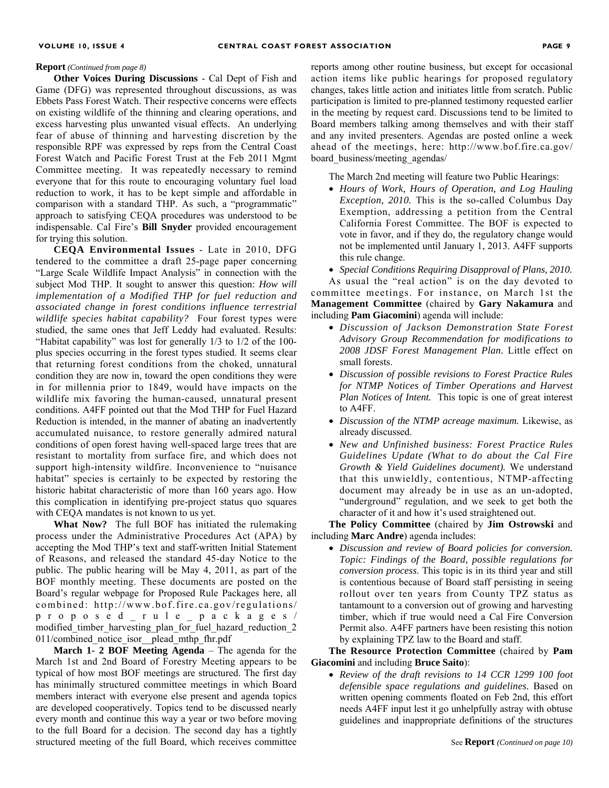**Other Voices During Discussions** - Cal Dept of Fish and Game (DFG) was represented throughout discussions, as was Ebbets Pass Forest Watch. Their respective concerns were effects on existing wildlife of the thinning and clearing operations, and excess harvesting plus unwanted visual effects. An underlying fear of abuse of thinning and harvesting discretion by the responsible RPF was expressed by reps from the Central Coast Forest Watch and Pacific Forest Trust at the Feb 2011 Mgmt Committee meeting. It was repeatedly necessary to remind everyone that for this route to encouraging voluntary fuel load reduction to work, it has to be kept simple and affordable in comparison with a standard THP. As such, a "programmatic" approach to satisfying CEQA procedures was understood to be indispensable. Cal Fire's **Bill Snyder** provided encouragement for trying this solution.

**CEQA Environmental Issues** - Late in 2010, DFG tendered to the committee a draft 25-page paper concerning "Large Scale Wildlife Impact Analysis" in connection with the subject Mod THP. It sought to answer this question: *How will implementation of a Modified THP for fuel reduction and associated change in forest conditions influence terrestrial wildlife species habitat capability?* Four forest types were studied, the same ones that Jeff Leddy had evaluated. Results: "Habitat capability" was lost for generally 1/3 to 1/2 of the 100 plus species occurring in the forest types studied. It seems clear that returning forest conditions from the choked, unnatural condition they are now in, toward the open conditions they were in for millennia prior to 1849, would have impacts on the wildlife mix favoring the human-caused, unnatural present conditions. A4FF pointed out that the Mod THP for Fuel Hazard Reduction is intended, in the manner of abating an inadvertently accumulated nuisance, to restore generally admired natural conditions of open forest having well-spaced large trees that are resistant to mortality from surface fire, and which does not support high-intensity wildfire. Inconvenience to "nuisance habitat" species is certainly to be expected by restoring the historic habitat characteristic of more than 160 years ago. How this complication in identifying pre-project status quo squares with CEQA mandates is not known to us yet.

**What Now?** The full BOF has initiated the rulemaking process under the Administrative Procedures Act (APA) by accepting the Mod THP's text and staff-written Initial Statement of Reasons, and released the standard 45-day Notice to the public. The public hearing will be May 4, 2011, as part of the BOF monthly meeting. These documents are posted on the Board's regular webpage for Proposed Rule Packages here, all combined: http://www.bof.fire.ca.gov/regulations/ proposed\_rule\_packages/ modified timber harvesting plan for fuel hazard reduction 2 011/combined\_notice\_isor\_\_plead\_mthp\_fhr.pdf

**March 1- 2 BOF Meeting Agenda** – The agenda for the March 1st and 2nd Board of Forestry Meeting appears to be typical of how most BOF meetings are structured. The first day has minimally structured committee meetings in which Board members interact with everyone else present and agenda topics are developed cooperatively. Topics tend to be discussed nearly every month and continue this way a year or two before moving to the full Board for a decision. The second day has a tightly structured meeting of the full Board, which receives committee

**Report** (Continued from page 8) **reports** among other routine business, but except for occasional action items like public hearings for proposed regulatory changes, takes little action and initiates little from scratch. Public participation is limited to pre-planned testimony requested earlier in the meeting by request card. Discussions tend to be limited to Board members talking among themselves and with their staff and any invited presenters. Agendas are posted online a week ahead of the meetings, here: http://www.bof.fire.ca.gov/ board\_business/meeting\_agendas/

The March 2nd meeting will feature two Public Hearings:

- *Hours of Work, Hours of Operation, and Log Hauling Exception, 2010.* This is the so-called Columbus Day Exemption, addressing a petition from the Central California Forest Committee. The BOF is expected to vote in favor, and if they do, the regulatory change would not be implemented until January 1, 2013. A4FF supports this rule change.
- *Special Conditions Requiring Disapproval of Plans, 2010.*

As usual the "real action" is on the day devoted to committee meetings. For instance, on March 1st the **Management Committee** (chaired by **Gary Nakamura** and including **Pam Giacomini**) agenda will include:

- *Discussion of Jackson Demonstration State Forest Advisory Group Recommendation for modifications to 2008 JDSF Forest Management Plan.* Little effect on small forests.
- *Discussion of possible revisions to Forest Practice Rules for NTMP Notices of Timber Operations and Harvest Plan Notices of Intent.* This topic is one of great interest to A4FF.
- *Discussion of the NTMP acreage maximum.* Likewise, as already discussed.
- *New and Unfinished business: Forest Practice Rules Guidelines Update (What to do about the Cal Fire Growth & Yield Guidelines document).* We understand that this unwieldly, contentious, NTMP-affecting document may already be in use as an un-adopted, "underground" regulation, and we seek to get both the character of it and how it's used straightened out.

**The Policy Committee** (chaired by **Jim Ostrowski** and including **Marc Andre**) agenda includes:

• *Discussion and review of Board policies for conversion. Topic: Findings of the Board, possible regulations for conversion process*. This topic is in its third year and still is contentious because of Board staff persisting in seeing rollout over ten years from County TPZ status as tantamount to a conversion out of growing and harvesting timber, which if true would need a Cal Fire Conversion Permit also. A4FF partners have been resisting this notion by explaining TPZ law to the Board and staff.

**The Resource Protection Committee** (chaired by **Pam Giacomini** and including **Bruce Saito**):

• *Review of the draft revisions to 14 CCR 1299 100 foot defensible space regulations and guidelines.* Based on written opening comments floated on Feb 2nd, this effort needs A4FF input lest it go unhelpfully astray with obtuse guidelines and inappropriate definitions of the structures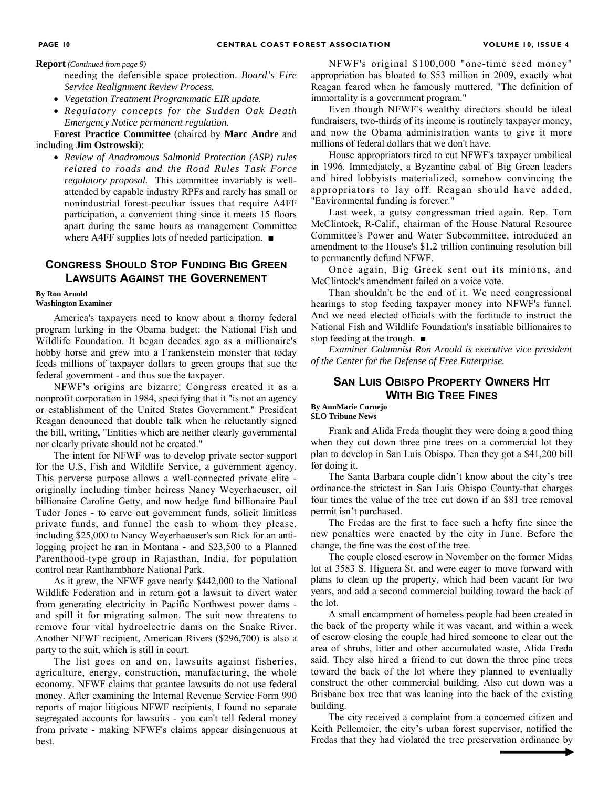**Report** *(Continued from page 9)* 

needing the defensible space protection. *Board's Fire Service Realignment Review Process.* 

- *Vegetation Treatment Programmatic EIR update.*
- *Regulatory concepts for the Sudden Oak Death Emergency Notice permanent regulation.*

**Forest Practice Committee** (chaired by **Marc Andre** and including **Jim Ostrowski**):

• *Review of Anadromous Salmonid Protection (ASP) rules related to roads and the Road Rules Task Force regulatory proposal.* This committee invariably is wellattended by capable industry RPFs and rarely has small or nonindustrial forest-peculiar issues that require A4FF participation, a convenient thing since it meets 15 floors apart during the same hours as management Committee where A4FF supplies lots of needed participation. ■

## **CONGRESS SHOULD STOP FUNDING BIG GREEN LAWSUITS AGAINST THE GOVERNEMENT**

#### **By Ron Arnold Washington Examiner**

America's taxpayers need to know about a thorny federal program lurking in the Obama budget: the National Fish and Wildlife Foundation. It began decades ago as a millionaire's hobby horse and grew into a Frankenstein monster that today feeds millions of taxpayer dollars to green groups that sue the federal government - and thus sue the taxpayer.

NFWF's origins are bizarre: Congress created it as a nonprofit corporation in 1984, specifying that it "is not an agency or establishment of the United States Government." President Reagan denounced that double talk when he reluctantly signed the bill, writing, "Entities which are neither clearly governmental nor clearly private should not be created."

The intent for NFWF was to develop private sector support for the U,S, Fish and Wildlife Service, a government agency. This perverse purpose allows a well-connected private elite originally including timber heiress Nancy Weyerhaeuser, oil billionaire Caroline Getty, and now hedge fund billionaire Paul Tudor Jones - to carve out government funds, solicit limitless private funds, and funnel the cash to whom they please, including \$25,000 to Nancy Weyerhaeuser's son Rick for an antilogging project he ran in Montana - and \$23,500 to a Planned Parenthood-type group in Rajasthan, India, for population control near Ranthambhore National Park.

As it grew, the NFWF gave nearly \$442,000 to the National Wildlife Federation and in return got a lawsuit to divert water from generating electricity in Pacific Northwest power dams and spill it for migrating salmon. The suit now threatens to remove four vital hydroelectric dams on the Snake River. Another NFWF recipient, American Rivers (\$296,700) is also a party to the suit, which is still in court.

The list goes on and on, lawsuits against fisheries, agriculture, energy, construction, manufacturing, the whole economy. NFWF claims that grantee lawsuits do not use federal money. After examining the Internal Revenue Service Form 990 reports of major litigious NFWF recipients, I found no separate segregated accounts for lawsuits - you can't tell federal money from private - making NFWF's claims appear disingenuous at best.

NFWF's original \$100,000 "one-time seed money" appropriation has bloated to \$53 million in 2009, exactly what Reagan feared when he famously muttered, "The definition of immortality is a government program."

Even though NFWF's wealthy directors should be ideal fundraisers, two-thirds of its income is routinely taxpayer money, and now the Obama administration wants to give it more millions of federal dollars that we don't have.

House appropriators tired to cut NFWF's taxpayer umbilical in 1996. Immediately, a Byzantine cabal of Big Green leaders and hired lobbyists materialized, somehow convincing the appropriators to lay off. Reagan should have added, "Environmental funding is forever."

Last week, a gutsy congressman tried again. Rep. Tom McClintock, R-Calif., chairman of the House Natural Resource Committee's Power and Water Subcommittee, introduced an amendment to the House's \$1.2 trillion continuing resolution bill to permanently defund NFWF.

Once again, Big Greek sent out its minions, and McClintock's amendment failed on a voice vote.

Than shouldn't be the end of it. We need congressional hearings to stop feeding taxpayer money into NFWF's funnel. And we need elected officials with the fortitude to instruct the National Fish and Wildlife Foundation's insatiable billionaires to stop feeding at the trough. ■

*Examiner Columnist Ron Arnold is executive vice president of the Center for the Defense of Free Enterprise.* 

## **SAN LUIS OBISPO PROPERTY OWNERS HIT WITH BIG TREE FINES**

**By AnnMarie Cornejo SLO Tribune News** 

Frank and Alida Freda thought they were doing a good thing when they cut down three pine trees on a commercial lot they plan to develop in San Luis Obispo. Then they got a \$41,200 bill for doing it.

The Santa Barbara couple didn't know about the city's tree ordinance-the strictest in San Luis Obispo County-that charges four times the value of the tree cut down if an \$81 tree removal permit isn't purchased.

The Fredas are the first to face such a hefty fine since the new penalties were enacted by the city in June. Before the change, the fine was the cost of the tree.

The couple closed escrow in November on the former Midas lot at 3583 S. Higuera St. and were eager to move forward with plans to clean up the property, which had been vacant for two years, and add a second commercial building toward the back of the lot.

A small encampment of homeless people had been created in the back of the property while it was vacant, and within a week of escrow closing the couple had hired someone to clear out the area of shrubs, litter and other accumulated waste, Alida Freda said. They also hired a friend to cut down the three pine trees toward the back of the lot where they planned to eventually construct the other commercial building. Also cut down was a Brisbane box tree that was leaning into the back of the existing building.

The city received a complaint from a concerned citizen and Keith Pellemeier, the city's urban forest supervisor, notified the Fredas that they had violated the tree preservation ordinance by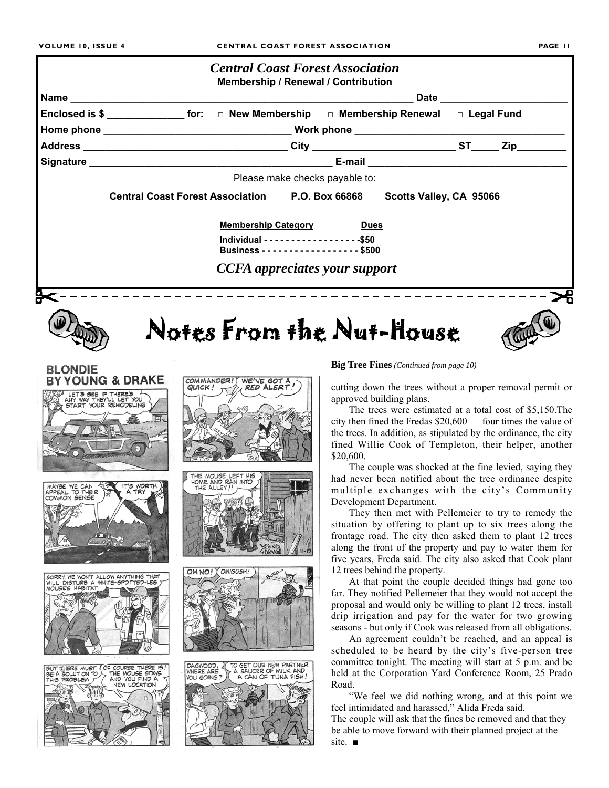

OH NO I Y OMIGOSH!

DAGWOOD,

VOU GOING?

TO GET OUR NEW PARTNER

A SAUCER OF MILK AND A CAN OF TUNA FISH!

SORRY, WE WON'T ALLOW ANYTHING THAT<br>WILL DISTURB A WHITE-SPOTTED-LEG HABITAT

BUT THERE MUST (OF COURSE THERE IS<br>BE A SOLUTION TO ) THE MOUSE STAYS<br>THIS PROBLEM T (AND YOU FIND A

They then met with Pellemeier to try to remedy the situation by offering to plant up to six trees along the frontage road. The city then asked them to plant 12 trees along the front of the property and pay to water them for five years, Freda said. The city also asked that Cook plant 12 trees behind the property.

At that point the couple decided things had gone too far. They notified Pellemeier that they would not accept the proposal and would only be willing to plant 12 trees, install drip irrigation and pay for the water for two growing seasons - but only if Cook was released from all obligations.

An agreement couldn't be reached, and an appeal is scheduled to be heard by the city's five-person tree committee tonight. The meeting will start at 5 p.m. and be held at the Corporation Yard Conference Room, 25 Prado Road.

"We feel we did nothing wrong, and at this point we feel intimidated and harassed," Alida Freda said.

The couple will ask that the fines be removed and that they be able to move forward with their planned project at the site. ■